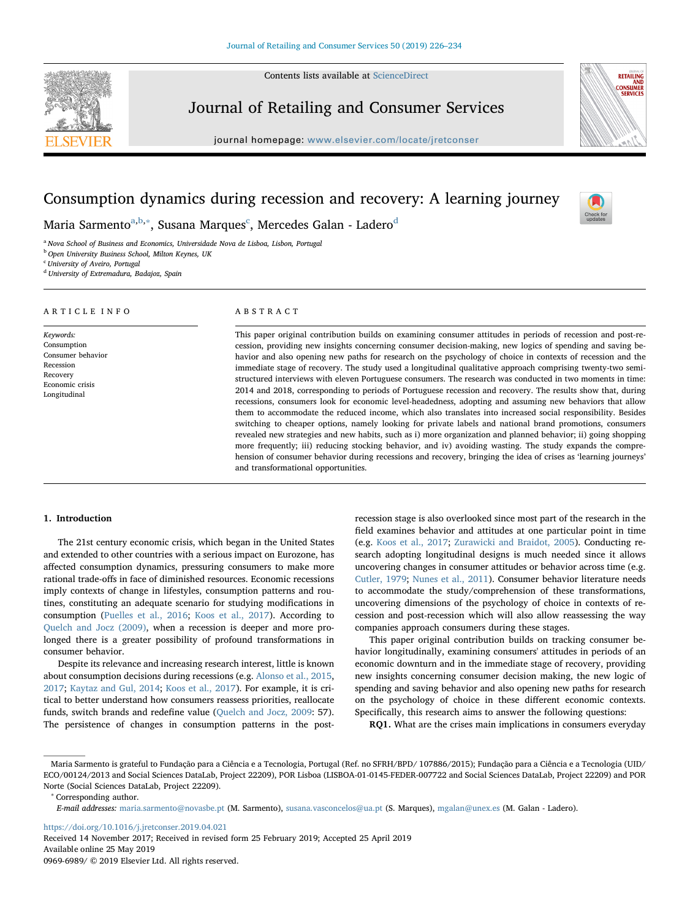Contents lists available at [ScienceDirect](http://www.sciencedirect.com/science/journal/09696989)



Journal of Retailing and Consumer Services

journal homepage: [www.elsevier.com/locate/jretconser](https://www.elsevier.com/locate/jretconser)



# Consumption dynamics during recession and recovery: A learning journey



M[a](#page-0-0)ria Sarmento<sup>a[,b,](#page-0-1)</sup>\*, Susana Marques<sup>[c](#page-0-3)</sup>, Merce[d](#page-0-4)es Galan - Ladero<sup>d</sup>

<span id="page-0-0"></span><sup>a</sup> Nova School of Business and Economics, Universidade Nova de Lisboa, Lisbon, Portugal

<span id="page-0-1"></span><sup>b</sup> Open University Business School, Milton Keynes, UK

<span id="page-0-3"></span><sup>c</sup> University of Aveiro, Portugal

<span id="page-0-4"></span><sup>d</sup> University of Extremadura, Badajoz, Spain

| ARTICLE INFO                                                                                              | ABSTRACT                                                                                                                                                                                                                                                                                                                                                                                                                                                                                                                                                                                                                                                                                                                                                                                                                                                                                                                                                                                                                                                                                                                                                                                                                                                                                                                                                                                                             |  |
|-----------------------------------------------------------------------------------------------------------|----------------------------------------------------------------------------------------------------------------------------------------------------------------------------------------------------------------------------------------------------------------------------------------------------------------------------------------------------------------------------------------------------------------------------------------------------------------------------------------------------------------------------------------------------------------------------------------------------------------------------------------------------------------------------------------------------------------------------------------------------------------------------------------------------------------------------------------------------------------------------------------------------------------------------------------------------------------------------------------------------------------------------------------------------------------------------------------------------------------------------------------------------------------------------------------------------------------------------------------------------------------------------------------------------------------------------------------------------------------------------------------------------------------------|--|
| Keywords:<br>Consumption<br>Consumer behavior<br>Recession<br>Recovery<br>Economic crisis<br>Longitudinal | This paper original contribution builds on examining consumer attitudes in periods of recession and post-re-<br>cession, providing new insights concerning consumer decision-making, new logics of spending and saving be-<br>havior and also opening new paths for research on the psychology of choice in contexts of recession and the<br>immediate stage of recovery. The study used a longitudinal qualitative approach comprising twenty-two semi-<br>structured interviews with eleven Portuguese consumers. The research was conducted in two moments in time:<br>2014 and 2018, corresponding to periods of Portuguese recession and recovery. The results show that, during<br>recessions, consumers look for economic level-headedness, adopting and assuming new behaviors that allow<br>them to accommodate the reduced income, which also translates into increased social responsibility. Besides<br>switching to cheaper options, namely looking for private labels and national brand promotions, consumers<br>revealed new strategies and new habits, such as i) more organization and planned behavior; ii) going shopping<br>more frequently; iii) reducing stocking behavior, and iv) avoiding wasting. The study expands the compre-<br>hension of consumer behavior during recessions and recovery, bringing the idea of crises as 'learning journeys'<br>and transformational opportunities. |  |

## 1. Introduction

The 21st century economic crisis, which began in the United States and extended to other countries with a serious impact on Eurozone, has affected consumption dynamics, pressuring consumers to make more rational trade-offs in face of diminished resources. Economic recessions imply contexts of change in lifestyles, consumption patterns and routines, constituting an adequate scenario for studying modifications in consumption [\(Puelles et al., 2016](#page-8-0); [Koos et al., 2017\)](#page-7-0). According to [Quelch and Jocz \(2009\)](#page-8-1), when a recession is deeper and more prolonged there is a greater possibility of profound transformations in consumer behavior.

Despite its relevance and increasing research interest, little is known about consumption decisions during recessions (e.g. [Alonso et al., 2015](#page-7-1), [2017;](#page-7-2) [Kaytaz and Gul, 2014](#page-7-3); [Koos et al., 2017\)](#page-7-0). For example, it is critical to better understand how consumers reassess priorities, reallocate funds, switch brands and redefine value ([Quelch and Jocz, 2009](#page-8-1): 57). The persistence of changes in consumption patterns in the postrecession stage is also overlooked since most part of the research in the field examines behavior and attitudes at one particular point in time (e.g. [Koos et al., 2017;](#page-7-0) [Zurawicki and Braidot, 2005](#page-8-2)). Conducting research adopting longitudinal designs is much needed since it allows uncovering changes in consumer attitudes or behavior across time (e.g. [Cutler, 1979](#page-7-4); [Nunes et al., 2011\)](#page-8-3). Consumer behavior literature needs to accommodate the study/comprehension of these transformations, uncovering dimensions of the psychology of choice in contexts of recession and post-recession which will also allow reassessing the way companies approach consumers during these stages.

This paper original contribution builds on tracking consumer behavior longitudinally, examining consumers' attitudes in periods of an economic downturn and in the immediate stage of recovery, providing new insights concerning consumer decision making, the new logic of spending and saving behavior and also opening new paths for research on the psychology of choice in these different economic contexts. Specifically, this research aims to answer the following questions:

RQ1. What are the crises main implications in consumers everyday

<span id="page-0-2"></span><sup>∗</sup> Corresponding author.

<https://doi.org/10.1016/j.jretconser.2019.04.021>

Received 14 November 2017; Received in revised form 25 February 2019; Accepted 25 April 2019 Available online 25 May 2019 0969-6989/ © 2019 Elsevier Ltd. All rights reserved.

Maria Sarmento is grateful to Fundação para a Ciência e a Tecnologia, Portugal (Ref. no SFRH/BPD/ 107886/2015); Fundação para a Ciência e a Tecnologia (UID/ ECO/00124/2013 and Social Sciences DataLab, Project 22209), POR Lisboa (LISBOA-01-0145-FEDER-007722 and Social Sciences DataLab, Project 22209) and POR Norte (Social Sciences DataLab, Project 22209).

E-mail addresses: [maria.sarmento@novasbe.pt](mailto:maria.sarmento@novasbe.pt) (M. Sarmento), [susana.vasconcelos@ua.pt](mailto:susana.vasconcelos@ua.pt) (S. Marques), [mgalan@unex.es](mailto:mgalan@unex.es) (M. Galan - Ladero).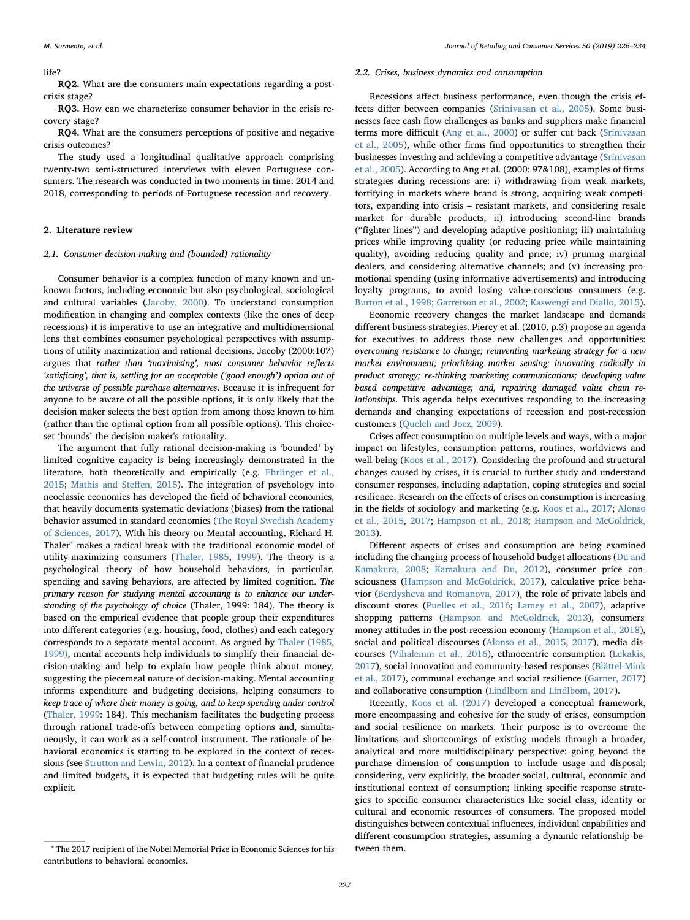#### life?

RQ2. What are the consumers main expectations regarding a postcrisis stage?

RQ3. How can we characterize consumer behavior in the crisis recovery stage?

RQ4. What are the consumers perceptions of positive and negative crisis outcomes?

The study used a longitudinal qualitative approach comprising twenty-two semi-structured interviews with eleven Portuguese consumers. The research was conducted in two moments in time: 2014 and 2018, corresponding to periods of Portuguese recession and recovery.

## 2. Literature review

## 2.1. Consumer decision-making and (bounded) rationality

Consumer behavior is a complex function of many known and unknown factors, including economic but also psychological, sociological and cultural variables [\(Jacoby, 2000\)](#page-7-5). To understand consumption modification in changing and complex contexts (like the ones of deep recessions) it is imperative to use an integrative and multidimensional lens that combines consumer psychological perspectives with assumptions of utility maximization and rational decisions. Jacoby (2000:107) argues that rather than 'maximizing', most consumer behavior reflects 'satisficing', that is, settling for an acceptable ('good enough') option out of the universe of possible purchase alternatives. Because it is infrequent for anyone to be aware of all the possible options, it is only likely that the decision maker selects the best option from among those known to him (rather than the optimal option from all possible options). This choiceset 'bounds' the decision maker's rationality.

The argument that fully rational decision-making is 'bounded' by limited cognitive capacity is being increasingly demonstrated in the literature, both theoretically and empirically (e.g. [Ehrlinger et al.,](#page-7-6) [2015;](#page-7-6) [Mathis and Ste](#page-8-4)ffen, 2015). The integration of psychology into neoclassic economics has developed the field of behavioral economics, that heavily documents systematic deviations (biases) from the rational behavior assumed in standard economics [\(The Royal Swedish Academy](#page-8-5) [of Sciences, 2017](#page-8-5)). With his theory on Mental accounting, Richard H. Thaler[∗](#page-1-0) makes a radical break with the traditional economic model of utility-maximizing consumers ([Thaler, 1985,](#page-8-6) [1999\)](#page-8-7). The theory is a psychological theory of how household behaviors, in particular, spending and saving behaviors, are affected by limited cognition. The primary reason for studying mental accounting is to enhance our understanding of the psychology of choice (Thaler, 1999: 184). The theory is based on the empirical evidence that people group their expenditures into different categories (e.g. housing, food, clothes) and each category corresponds to a separate mental account. As argued by [Thaler \(1985](#page-8-6), [1999\),](#page-8-7) mental accounts help individuals to simplify their financial decision-making and help to explain how people think about money, suggesting the piecemeal nature of decision-making. Mental accounting informs expenditure and budgeting decisions, helping consumers to keep trace of where their money is going, and to keep spending under control ([Thaler, 1999](#page-8-7): 184). This mechanism facilitates the budgeting process through rational trade-offs between competing options and, simultaneously, it can work as a self-control instrument. The rationale of behavioral economics is starting to be explored in the context of recessions (see [Strutton and Lewin, 2012](#page-8-8)). In a context of financial prudence and limited budgets, it is expected that budgeting rules will be quite explicit.

#### 2.2. Crises, business dynamics and consumption

Recessions affect business performance, even though the crisis effects differ between companies [\(Srinivasan et al., 2005\)](#page-8-9). Some businesses face cash flow challenges as banks and suppliers make financial terms more difficult ([Ang et al., 2000](#page-7-7)) or suffer cut back ([Srinivasan](#page-8-9) [et al., 2005](#page-8-9)), while other firms find opportunities to strengthen their businesses investing and achieving a competitive advantage ([Srinivasan](#page-8-9) [et al., 2005\)](#page-8-9). According to Ang et al. (2000: 97&108), examples of firms' strategies during recessions are: i) withdrawing from weak markets, fortifying in markets where brand is strong, acquiring weak competitors, expanding into crisis – resistant markets, and considering resale market for durable products; ii) introducing second-line brands ("fighter lines") and developing adaptive positioning; iii) maintaining prices while improving quality (or reducing price while maintaining quality), avoiding reducing quality and price; iv) pruning marginal dealers, and considering alternative channels; and (v) increasing promotional spending (using informative advertisements) and introducing loyalty programs, to avoid losing value-conscious consumers (e.g. [Burton et al., 1998;](#page-7-8) [Garretson et al., 2002;](#page-7-9) [Kaswengi and Diallo, 2015](#page-7-10)).

Economic recovery changes the market landscape and demands different business strategies. Piercy et al. (2010, p.3) propose an agenda for executives to address those new challenges and opportunities: overcoming resistance to change; reinventing marketing strategy for a new market environment; prioritizing market sensing; innovating radically in product strategy; re-thinking marketing communications; developing value based competitive advantage; and, repairing damaged value chain relationships. This agenda helps executives responding to the increasing demands and changing expectations of recession and post-recession customers ([Quelch and Jocz, 2009\)](#page-8-1).

Crises affect consumption on multiple levels and ways, with a major impact on lifestyles, consumption patterns, routines, worldviews and well-being ([Koos et al., 2017](#page-7-0)). Considering the profound and structural changes caused by crises, it is crucial to further study and understand consumer responses, including adaptation, coping strategies and social resilience. Research on the effects of crises on consumption is increasing in the fields of sociology and marketing (e.g. [Koos et al., 2017;](#page-7-0) [Alonso](#page-7-1) [et al., 2015,](#page-7-1) [2017](#page-7-2); [Hampson et al., 2018](#page-7-11); [Hampson and McGoldrick,](#page-7-12) [2013\)](#page-7-12).

Different aspects of crises and consumption are being examined including the changing process of household budget allocations ([Du and](#page-7-13) [Kamakura, 2008;](#page-7-13) [Kamakura and Du, 2012](#page-7-14)), consumer price consciousness [\(Hampson and McGoldrick, 2017\)](#page-7-15), calculative price behavior [\(Berdysheva and Romanova, 2017\)](#page-7-16), the role of private labels and discount stores [\(Puelles et al., 2016;](#page-8-0) [Lamey et al., 2007](#page-7-17)), adaptive shopping patterns [\(Hampson and McGoldrick, 2013\)](#page-7-12), consumers' money attitudes in the post-recession economy ([Hampson et al., 2018](#page-7-11)), social and political discourses ([Alonso et al., 2015,](#page-7-1) [2017\)](#page-7-2), media discourses [\(Vihalemm et al., 2016\)](#page-8-10), ethnocentric consumption [\(Lekakis,](#page-7-18) [2017\)](#page-7-18), social innovation and community-based responses [\(Blättel-Mink](#page-7-19) [et al., 2017](#page-7-19)), communal exchange and social resilience ([Garner, 2017\)](#page-7-20) and collaborative consumption [\(Lindlbom and Lindlbom, 2017](#page-8-11)).

Recently, [Koos et al. \(2017\)](#page-7-0) developed a conceptual framework, more encompassing and cohesive for the study of crises, consumption and social resilience on markets. Their purpose is to overcome the limitations and shortcomings of existing models through a broader, analytical and more multidisciplinary perspective: going beyond the purchase dimension of consumption to include usage and disposal; considering, very explicitly, the broader social, cultural, economic and institutional context of consumption; linking specific response strategies to specific consumer characteristics like social class, identity or cultural and economic resources of consumers. The proposed model distinguishes between contextual influences, individual capabilities and different consumption strategies, assuming a dynamic relationship be-

<span id="page-1-0"></span><sup>\*</sup> The 2017 recipient of the Nobel Memorial Prize in Economic Sciences for his tween them. contributions to behavioral economics.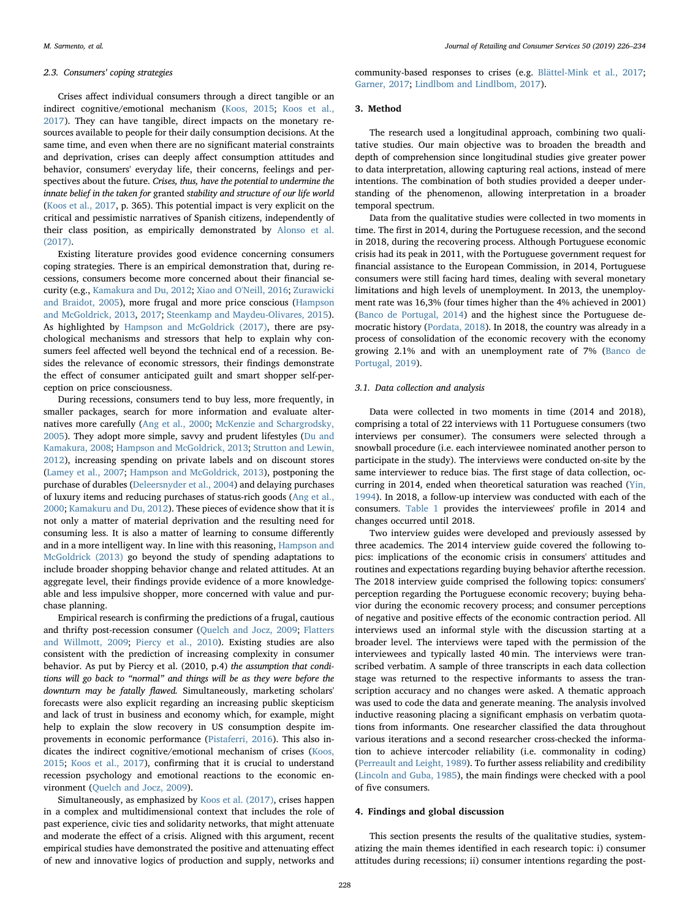#### 2.3. Consumers' coping strategies

Crises affect individual consumers through a direct tangible or an indirect cognitive/emotional mechanism ([Koos, 2015;](#page-7-21) [Koos et al.,](#page-7-0) [2017\)](#page-7-0). They can have tangible, direct impacts on the monetary resources available to people for their daily consumption decisions. At the same time, and even when there are no significant material constraints and deprivation, crises can deeply affect consumption attitudes and behavior, consumers' everyday life, their concerns, feelings and perspectives about the future. Crises, thus, have the potential to undermine the innate belief in the taken for granted stability and structure of our life world ([Koos et al., 2017](#page-7-0), p. 365). This potential impact is very explicit on the critical and pessimistic narratives of Spanish citizens, independently of their class position, as empirically demonstrated by [Alonso et al.](#page-7-2) [\(2017\).](#page-7-2)

Existing literature provides good evidence concerning consumers coping strategies. There is an empirical demonstration that, during recessions, consumers become more concerned about their financial security (e.g., [Kamakura and Du, 2012;](#page-7-14) [Xiao and O'Neill, 2016](#page-8-12); [Zurawicki](#page-8-2) [and Braidot, 2005](#page-8-2)), more frugal and more price conscious [\(Hampson](#page-7-12) [and McGoldrick, 2013,](#page-7-12) [2017](#page-7-15); [Steenkamp and Maydeu-Olivares, 2015](#page-8-13)). As highlighted by [Hampson and McGoldrick \(2017\),](#page-7-15) there are psychological mechanisms and stressors that help to explain why consumers feel affected well beyond the technical end of a recession. Besides the relevance of economic stressors, their findings demonstrate the effect of consumer anticipated guilt and smart shopper self-perception on price consciousness.

During recessions, consumers tend to buy less, more frequently, in smaller packages, search for more information and evaluate alternatives more carefully [\(Ang et al., 2000](#page-7-7); [McKenzie and Schargrodsky,](#page-8-14) [2005\)](#page-8-14). They adopt more simple, savvy and prudent lifestyles ([Du and](#page-7-13) [Kamakura, 2008;](#page-7-13) [Hampson and McGoldrick, 2013](#page-7-12); [Strutton and Lewin,](#page-8-8) [2012\)](#page-8-8), increasing spending on private labels and on discount stores ([Lamey et al., 2007](#page-7-17); [Hampson and McGoldrick, 2013\)](#page-7-12), postponing the purchase of durables ([Deleersnyder et al., 2004](#page-7-22)) and delaying purchases of luxury items and reducing purchases of status-rich goods ([Ang et al.,](#page-7-7) [2000;](#page-7-7) [Kamakuru and Du, 2012](#page-7-14)). These pieces of evidence show that it is not only a matter of material deprivation and the resulting need for consuming less. It is also a matter of learning to consume differently and in a more intelligent way. In line with this reasoning, [Hampson and](#page-7-12) [McGoldrick \(2013\)](#page-7-12) go beyond the study of spending adaptations to include broader shopping behavior change and related attitudes. At an aggregate level, their findings provide evidence of a more knowledgeable and less impulsive shopper, more concerned with value and purchase planning.

Empirical research is confirming the predictions of a frugal, cautious and thrifty post-recession consumer ([Quelch and Jocz, 2009;](#page-8-1) [Flatters](#page-7-23) [and Willmott, 2009;](#page-7-23) [Piercy et al., 2010](#page-8-15)). Existing studies are also consistent with the prediction of increasing complexity in consumer behavior. As put by Piercy et al. (2010, p.4) the assumption that conditions will go back to "normal" and things will be as they were before the downturn may be fatally flawed. Simultaneously, marketing scholars' forecasts were also explicit regarding an increasing public skepticism and lack of trust in business and economy which, for example, might help to explain the slow recovery in US consumption despite improvements in economic performance ([Pistaferri, 2016](#page-8-16)). This also indicates the indirect cognitive/emotional mechanism of crises ([Koos,](#page-7-21) [2015;](#page-7-21) [Koos et al., 2017](#page-7-0)), confirming that it is crucial to understand recession psychology and emotional reactions to the economic environment ([Quelch and Jocz, 2009\)](#page-8-1).

Simultaneously, as emphasized by [Koos et al. \(2017\)](#page-7-0), crises happen in a complex and multidimensional context that includes the role of past experience, civic ties and solidarity networks, that might attenuate and moderate the effect of a crisis. Aligned with this argument, recent empirical studies have demonstrated the positive and attenuating effect of new and innovative logics of production and supply, networks and

community-based responses to crises (e.g. [Blättel-Mink et al., 2017](#page-7-19); [Garner, 2017;](#page-7-20) [Lindlbom and Lindlbom, 2017\)](#page-8-11).

## 3. Method

The research used a longitudinal approach, combining two qualitative studies. Our main objective was to broaden the breadth and depth of comprehension since longitudinal studies give greater power to data interpretation, allowing capturing real actions, instead of mere intentions. The combination of both studies provided a deeper understanding of the phenomenon, allowing interpretation in a broader temporal spectrum.

Data from the qualitative studies were collected in two moments in time. The first in 2014, during the Portuguese recession, and the second in 2018, during the recovering process. Although Portuguese economic crisis had its peak in 2011, with the Portuguese government request for financial assistance to the European Commission, in 2014, Portuguese consumers were still facing hard times, dealing with several monetary limitations and high levels of unemployment. In 2013, the unemployment rate was 16,3% (four times higher than the 4% achieved in 2001) ([Banco de Portugal, 2014](#page-7-24)) and the highest since the Portuguese democratic history [\(Pordata, 2018\)](#page-8-17). In 2018, the country was already in a process of consolidation of the economic recovery with the economy growing 2.1% and with an unemployment rate of 7% ([Banco de](#page-7-25) [Portugal, 2019](#page-7-25)).

#### 3.1. Data collection and analysis

Data were collected in two moments in time (2014 and 2018), comprising a total of 22 interviews with 11 Portuguese consumers (two interviews per consumer). The consumers were selected through a snowball procedure (i.e. each interviewee nominated another person to participate in the study). The interviews were conducted on-site by the same interviewer to reduce bias. The first stage of data collection, occurring in 2014, ended when theoretical saturation was reached ([Yin,](#page-8-18) [1994\)](#page-8-18). In 2018, a follow-up interview was conducted with each of the consumers. [Table 1](#page-3-0) provides the interviewees' profile in 2014 and changes occurred until 2018.

Two interview guides were developed and previously assessed by three academics. The 2014 interview guide covered the following topics: implications of the economic crisis in consumers' attitudes and routines and expectations regarding buying behavior afterthe recession. The 2018 interview guide comprised the following topics: consumers' perception regarding the Portuguese economic recovery; buying behavior during the economic recovery process; and consumer perceptions of negative and positive effects of the economic contraction period. All interviews used an informal style with the discussion starting at a broader level. The interviews were taped with the permission of the interviewees and typically lasted 40 min. The interviews were transcribed verbatim. A sample of three transcripts in each data collection stage was returned to the respective informants to assess the transcription accuracy and no changes were asked. A thematic approach was used to code the data and generate meaning. The analysis involved inductive reasoning placing a significant emphasis on verbatim quotations from informants. One researcher classified the data throughout various iterations and a second researcher cross-checked the information to achieve intercoder reliability (i.e. commonality in coding) ([Perreault and Leight, 1989\)](#page-8-19). To further assess reliability and credibility ([Lincoln and Guba, 1985\)](#page-7-26), the main findings were checked with a pool of five consumers.

#### 4. Findings and global discussion

This section presents the results of the qualitative studies, systematizing the main themes identified in each research topic: i) consumer attitudes during recessions; ii) consumer intentions regarding the post-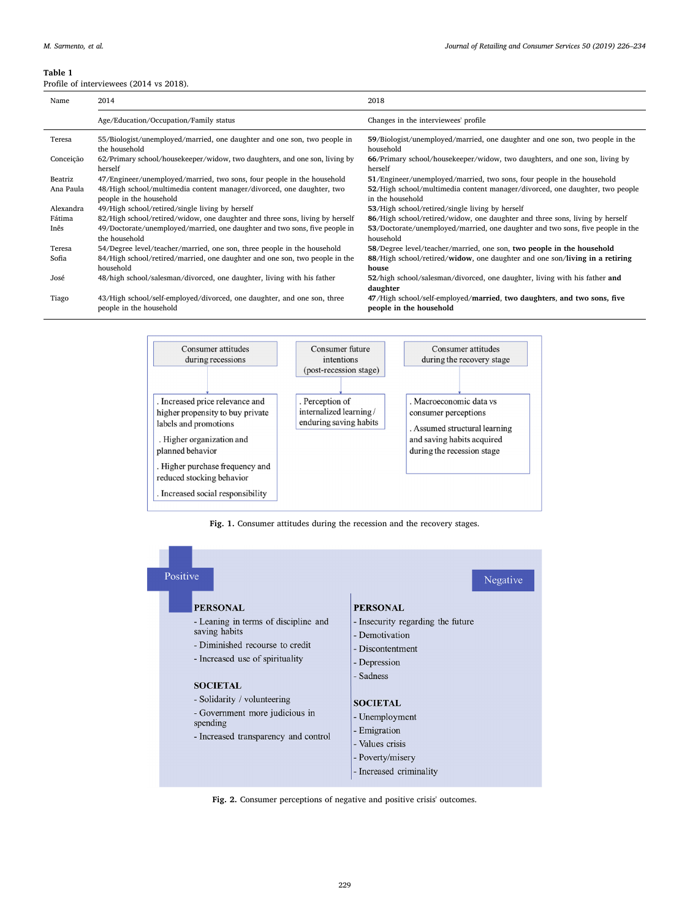<span id="page-3-0"></span>

| Name      | 2014                                                                                               | 2018                                                                                               |
|-----------|----------------------------------------------------------------------------------------------------|----------------------------------------------------------------------------------------------------|
|           | Age/Education/Occupation/Family status                                                             | Changes in the interviewees' profile                                                               |
| Teresa    | 55/Biologist/unemployed/married, one daughter and one son, two people in<br>the household          | 59/Biologist/unemployed/married, one daughter and one son, two people in the<br>household          |
| Conceição | 62/Primary school/housekeeper/widow, two daughters, and one son, living by<br>herself              | 66/Primary school/housekeeper/widow, two daughters, and one son, living by<br>herself              |
| Beatriz   | 47/Engineer/unemployed/married, two sons, four people in the household                             | 51/Engineer/unemployed/married, two sons, four people in the household                             |
| Ana Paula | 48/High school/multimedia content manager/divorced, one daughter, two<br>people in the household   | 52/High school/multimedia content manager/divorced, one daughter, two people<br>in the household   |
| Alexandra | 49/High school/retired/single living by herself                                                    | 53/High school/retired/single living by herself                                                    |
| Fátima    | 82/High school/retired/widow, one daughter and three sons, living by herself                       | 86/High school/retired/widow, one daughter and three sons, living by herself                       |
| Inês      | 49/Doctorate/unemployed/married, one daughter and two sons, five people in<br>the household        | 53/Doctorate/unemployed/married, one daughter and two sons, five people in the<br>household        |
| Teresa    | 54/Degree level/teacher/married, one son, three people in the household                            | 58/Degree level/teacher/married, one son, two people in the household                              |
| Sofia     | 84/High school/retired/married, one daughter and one son, two people in the<br>household           | 88/High school/retired/widow, one daughter and one son/living in a retiring<br>house               |
| José      | 48/high school/salesman/divorced, one daughter, living with his father                             | 52/high school/salesman/divorced, one daughter, living with his father and<br>daughter             |
| Tiago     | 43/High school/self-employed/divorced, one daughter, and one son, three<br>people in the household | 47/High school/self-employed/married, two daughters, and two sons, five<br>people in the household |

<span id="page-3-1"></span>

Fig. 1. Consumer attitudes during the recession and the recovery stages.

<span id="page-3-2"></span>

Fig. 2. Consumer perceptions of negative and positive crisis' outcomes.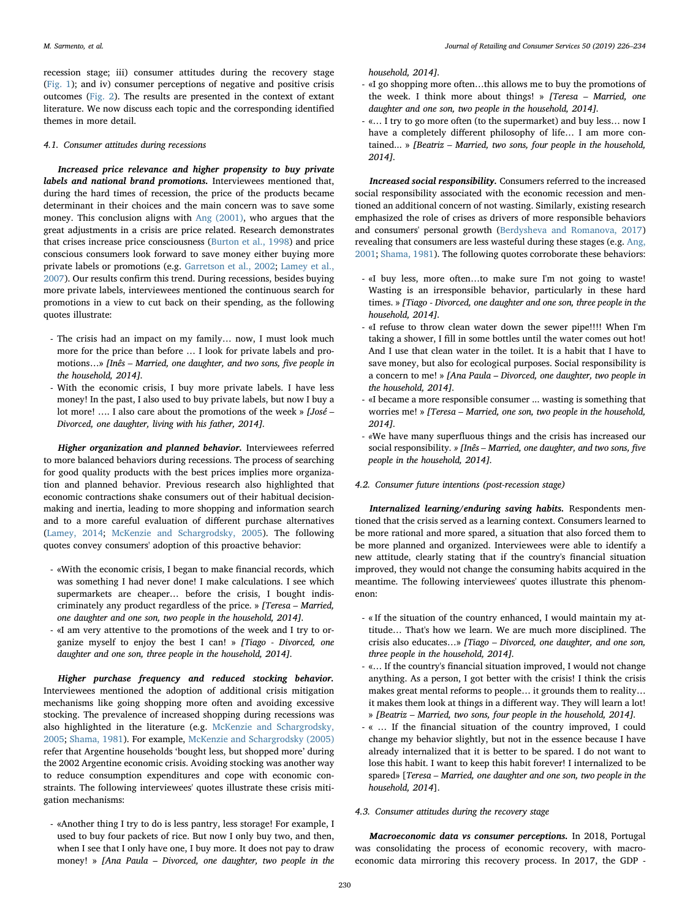recession stage; iii) consumer attitudes during the recovery stage ([Fig. 1](#page-3-1)); and iv) consumer perceptions of negative and positive crisis outcomes [\(Fig. 2](#page-3-2)). The results are presented in the context of extant literature. We now discuss each topic and the corresponding identified themes in more detail.

#### 4.1. Consumer attitudes during recessions

Increased price relevance and higher propensity to buy private labels and national brand promotions. Interviewees mentioned that, during the hard times of recession, the price of the products became determinant in their choices and the main concern was to save some money. This conclusion aligns with [Ang \(2001\)](#page-7-27), who argues that the great adjustments in a crisis are price related. Research demonstrates that crises increase price consciousness [\(Burton et al., 1998\)](#page-7-8) and price conscious consumers look forward to save money either buying more private labels or promotions (e.g. [Garretson et al., 2002;](#page-7-9) [Lamey et al.,](#page-7-17) [2007\)](#page-7-17). Our results confirm this trend. During recessions, besides buying more private labels, interviewees mentioned the continuous search for promotions in a view to cut back on their spending, as the following quotes illustrate:

- The crisis had an impact on my family… now, I must look much more for the price than before … I look for private labels and promotions…» [Inês – Married, one daughter, and two sons, five people in the household, 2014].
- With the economic crisis, I buy more private labels. I have less money! In the past, I also used to buy private labels, but now I buy a lot more! …. I also care about the promotions of the week » [José – Divorced, one daughter, living with his father, 2014].

Higher organization and planned behavior. Interviewees referred to more balanced behaviors during recessions. The process of searching for good quality products with the best prices implies more organization and planned behavior. Previous research also highlighted that economic contractions shake consumers out of their habitual decisionmaking and inertia, leading to more shopping and information search and to a more careful evaluation of different purchase alternatives ([Lamey, 2014](#page-7-28); [McKenzie and Schargrodsky, 2005\)](#page-8-14). The following quotes convey consumers' adoption of this proactive behavior:

- «With the economic crisis, I began to make financial records, which was something I had never done! I make calculations. I see which supermarkets are cheaper… before the crisis, I bought indiscriminately any product regardless of the price. » [Teresa – Married, one daughter and one son, two people in the household, 2014].
- «I am very attentive to the promotions of the week and I try to organize myself to enjoy the best I can! » [Tiago - Divorced, one daughter and one son, three people in the household, 2014].

Higher purchase frequency and reduced stocking behavior. Interviewees mentioned the adoption of additional crisis mitigation mechanisms like going shopping more often and avoiding excessive stocking. The prevalence of increased shopping during recessions was also highlighted in the literature (e.g. [McKenzie and Schargrodsky,](#page-8-14) [2005;](#page-8-14) [Shama, 1981\)](#page-8-20). For example, [McKenzie and Schargrodsky \(2005\)](#page-8-14) refer that Argentine households 'bought less, but shopped more' during the 2002 Argentine economic crisis. Avoiding stocking was another way to reduce consumption expenditures and cope with economic constraints. The following interviewees' quotes illustrate these crisis mitigation mechanisms:

- «Another thing I try to do is less pantry, less storage! For example, I used to buy four packets of rice. But now I only buy two, and then, when I see that I only have one, I buy more. It does not pay to draw money! » [Ana Paula – Divorced, one daughter, two people in the household, 2014].

- «I go shopping more often…this allows me to buy the promotions of the week. I think more about things! » [Teresa – Married, one daughter and one son, two people in the household, 2014].
- «… I try to go more often (to the supermarket) and buy less… now I have a completely different philosophy of life… I am more contained... » [Beatriz – Married, two sons, four people in the household, 2014].

Increased social responsibility. Consumers referred to the increased social responsibility associated with the economic recession and mentioned an additional concern of not wasting. Similarly, existing research emphasized the role of crises as drivers of more responsible behaviors and consumers' personal growth ([Berdysheva and Romanova, 2017\)](#page-7-16) revealing that consumers are less wasteful during these stages (e.g. [Ang,](#page-7-27) [2001;](#page-7-27) [Shama, 1981\)](#page-8-20). The following quotes corroborate these behaviors:

- «I buy less, more often…to make sure I'm not going to waste! Wasting is an irresponsible behavior, particularly in these hard times. » [Tiago - Divorced, one daughter and one son, three people in the household, 2014].
- «I refuse to throw clean water down the sewer pipe!!!! When I'm taking a shower, I fill in some bottles until the water comes out hot! And I use that clean water in the toilet. It is a habit that I have to save money, but also for ecological purposes. Social responsibility is a concern to me! » [Ana Paula – Divorced, one daughter, two people in the household, 2014].
- «I became a more responsible consumer ... wasting is something that worries me! » [Teresa – Married, one son, two people in the household, 2014].
- «We have many superfluous things and the crisis has increased our social responsibility. » [Inês – Married, one daughter, and two sons, five people in the household, 2014].
- 4.2. Consumer future intentions (post-recession stage)

Internalized learning/enduring saving habits. Respondents mentioned that the crisis served as a learning context. Consumers learned to be more rational and more spared, a situation that also forced them to be more planned and organized. Interviewees were able to identify a new attitude, clearly stating that if the country's financial situation improved, they would not change the consuming habits acquired in the meantime. The following interviewees' quotes illustrate this phenomenon:

- « If the situation of the country enhanced, I would maintain my attitude… That's how we learn. We are much more disciplined. The crisis also educates…» [Tiago – Divorced, one daughter, and one son, three people in the household, 2014].
- «… If the country's financial situation improved, I would not change anything. As a person, I got better with the crisis! I think the crisis makes great mental reforms to people… it grounds them to reality… it makes them look at things in a different way. They will learn a lot! » [Beatriz – Married, two sons, four people in the household, 2014].
- « … If the financial situation of the country improved, I could change my behavior slightly, but not in the essence because I have already internalized that it is better to be spared. I do not want to lose this habit. I want to keep this habit forever! I internalized to be spared» [Teresa – Married, one daughter and one son, two people in the household, 2014].

#### 4.3. Consumer attitudes during the recovery stage

Macroeconomic data vs consumer perceptions. In 2018, Portugal was consolidating the process of economic recovery, with macroeconomic data mirroring this recovery process. In 2017, the GDP -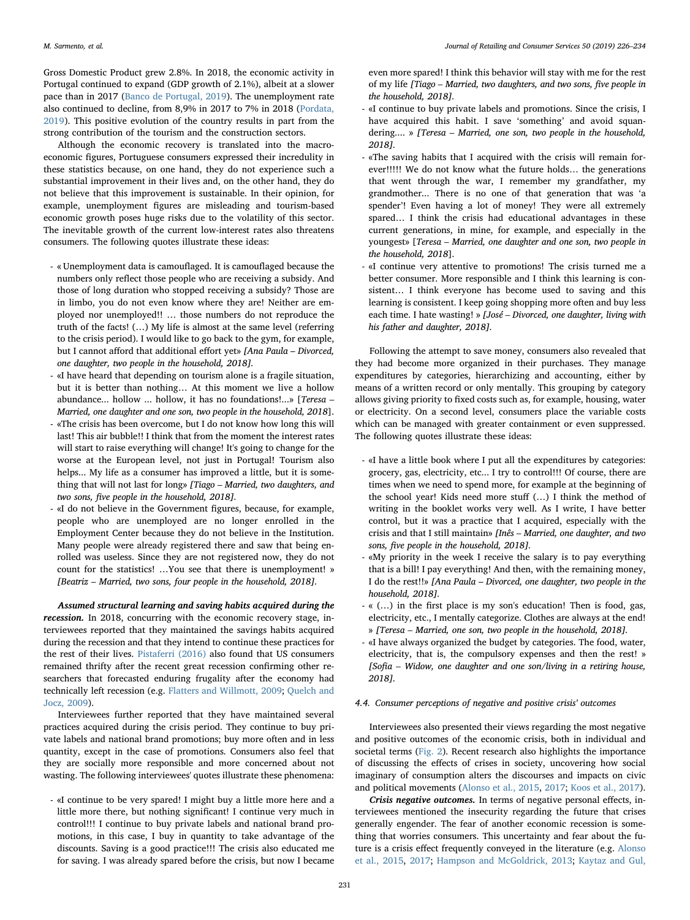Gross Domestic Product grew 2.8%. In 2018, the economic activity in Portugal continued to expand (GDP growth of 2.1%), albeit at a slower pace than in 2017 ([Banco de Portugal, 2019\)](#page-7-25). The unemployment rate also continued to decline, from 8,9% in 2017 to 7% in 2018 [\(Pordata,](#page-8-21) [2019\)](#page-8-21). This positive evolution of the country results in part from the strong contribution of the tourism and the construction sectors.

Although the economic recovery is translated into the macroeconomic figures, Portuguese consumers expressed their incredulity in these statistics because, on one hand, they do not experience such a substantial improvement in their lives and, on the other hand, they do not believe that this improvement is sustainable. In their opinion, for example, unemployment figures are misleading and tourism-based economic growth poses huge risks due to the volatility of this sector. The inevitable growth of the current low-interest rates also threatens consumers. The following quotes illustrate these ideas:

- « Unemployment data is camouflaged. It is camouflaged because the numbers only reflect those people who are receiving a subsidy. And those of long duration who stopped receiving a subsidy? Those are in limbo, you do not even know where they are! Neither are employed nor unemployed!! … those numbers do not reproduce the truth of the facts! (…) My life is almost at the same level (referring to the crisis period). I would like to go back to the gym, for example, but I cannot afford that additional effort yet» [Ana Paula – Divorced, one daughter, two people in the household, 2018].
- «I have heard that depending on tourism alone is a fragile situation, but it is better than nothing… At this moment we live a hollow abundance... hollow ... hollow, it has no foundations!...» [Teresa – Married, one daughter and one son, two people in the household, 2018].
- «The crisis has been overcome, but I do not know how long this will last! This air bubble!! I think that from the moment the interest rates will start to raise everything will change! It's going to change for the worse at the European level, not just in Portugal! Tourism also helps... My life as a consumer has improved a little, but it is something that will not last for long» [Tiago – Married, two daughters, and two sons, five people in the household, 2018].
- «I do not believe in the Government figures, because, for example, people who are unemployed are no longer enrolled in the Employment Center because they do not believe in the Institution. Many people were already registered there and saw that being enrolled was useless. Since they are not registered now, they do not count for the statistics! …You see that there is unemployment! » [Beatriz – Married, two sons, four people in the household, 2018].

Assumed structural learning and saving habits acquired during the recession. In 2018, concurring with the economic recovery stage, interviewees reported that they maintained the savings habits acquired during the recession and that they intend to continue these practices for the rest of their lives. [Pistaferri \(2016\)](#page-8-16) also found that US consumers remained thrifty after the recent great recession confirming other researchers that forecasted enduring frugality after the economy had technically left recession (e.g. [Flatters and Willmott, 2009](#page-7-23); [Quelch and](#page-8-1) [Jocz, 2009](#page-8-1)).

Interviewees further reported that they have maintained several practices acquired during the crisis period. They continue to buy private labels and national brand promotions; buy more often and in less quantity, except in the case of promotions. Consumers also feel that they are socially more responsible and more concerned about not wasting. The following interviewees' quotes illustrate these phenomena:

- «I continue to be very spared! I might buy a little more here and a little more there, but nothing significant! I continue very much in control!!! I continue to buy private labels and national brand promotions, in this case, I buy in quantity to take advantage of the discounts. Saving is a good practice!!! The crisis also educated me for saving. I was already spared before the crisis, but now I became

even more spared! I think this behavior will stay with me for the rest of my life [Tiago – Married, two daughters, and two sons, five people in the household, 2018].

- «I continue to buy private labels and promotions. Since the crisis, I have acquired this habit. I save 'something' and avoid squandering.... » [Teresa – Married, one son, two people in the household, 2018].
- «The saving habits that I acquired with the crisis will remain forever!!!!! We do not know what the future holds… the generations that went through the war, I remember my grandfather, my grandmother... There is no one of that generation that was 'a spender'! Even having a lot of money! They were all extremely spared… I think the crisis had educational advantages in these current generations, in mine, for example, and especially in the youngest» [Teresa – Married, one daughter and one son, two people in the household, 2018].
- «I continue very attentive to promotions! The crisis turned me a better consumer. More responsible and I think this learning is consistent… I think everyone has become used to saving and this learning is consistent. I keep going shopping more often and buy less each time. I hate wasting! » [José – Divorced, one daughter, living with his father and daughter, 2018].

Following the attempt to save money, consumers also revealed that they had become more organized in their purchases. They manage expenditures by categories, hierarchizing and accounting, either by means of a written record or only mentally. This grouping by category allows giving priority to fixed costs such as, for example, housing, water or electricity. On a second level, consumers place the variable costs which can be managed with greater containment or even suppressed. The following quotes illustrate these ideas:

- «I have a little book where I put all the expenditures by categories: grocery, gas, electricity, etc... I try to control!!! Of course, there are times when we need to spend more, for example at the beginning of the school year! Kids need more stuff (…) I think the method of writing in the booklet works very well. As I write, I have better control, but it was a practice that I acquired, especially with the crisis and that I still maintain» [Inês – Married, one daughter, and two sons, five people in the household, 2018].
- «My priority in the week I receive the salary is to pay everything that is a bill! I pay everything! And then, with the remaining money, I do the rest!!» [Ana Paula – Divorced, one daughter, two people in the household, 2018].
- -«(…) in the first place is my son's education! Then is food, gas, electricity, etc., I mentally categorize. Clothes are always at the end! » [Teresa – Married, one son, two people in the household, 2018].
- «I have always organized the budget by categories. The food, water, electricity, that is, the compulsory expenses and then the rest! » [Sofia – Widow, one daughter and one son/living in a retiring house, 2018].

## 4.4. Consumer perceptions of negative and positive crisis' outcomes

Interviewees also presented their views regarding the most negative and positive outcomes of the economic crisis, both in individual and societal terms ([Fig. 2\)](#page-3-2). Recent research also highlights the importance of discussing the effects of crises in society, uncovering how social imaginary of consumption alters the discourses and impacts on civic and political movements ([Alonso et al., 2015,](#page-7-1) [2017](#page-7-2); [Koos et al., 2017](#page-7-0)).

Crisis negative outcomes. In terms of negative personal effects, interviewees mentioned the insecurity regarding the future that crises generally engender. The fear of another economic recession is something that worries consumers. This uncertainty and fear about the future is a crisis effect frequently conveyed in the literature (e.g. [Alonso](#page-7-1) [et al., 2015](#page-7-1), [2017;](#page-7-2) [Hampson and McGoldrick, 2013](#page-7-12); [Kaytaz and Gul,](#page-7-3)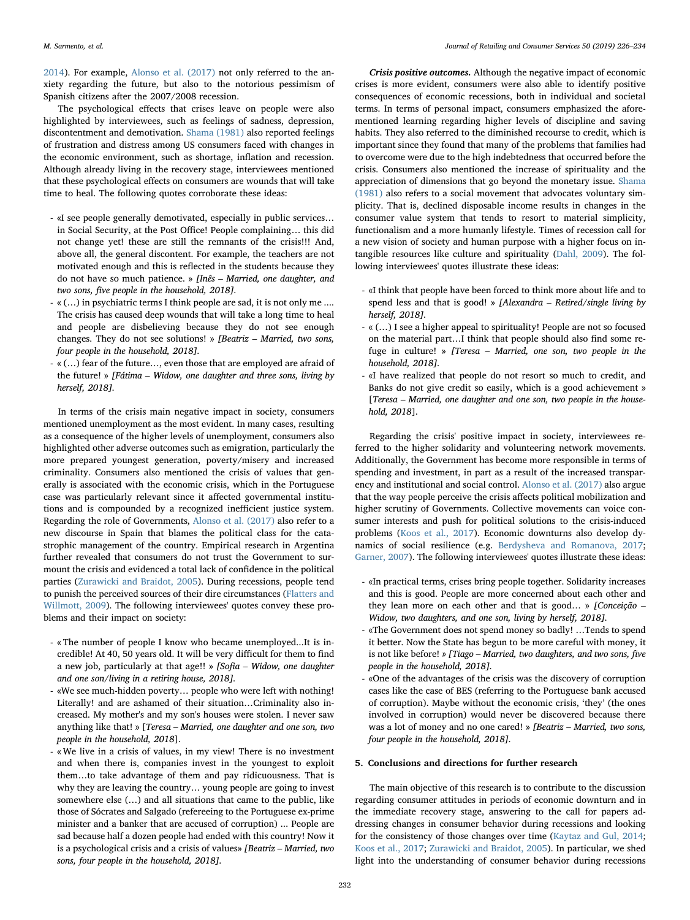[2014\)](#page-7-3). For example, [Alonso et al. \(2017\)](#page-7-2) not only referred to the anxiety regarding the future, but also to the notorious pessimism of Spanish citizens after the 2007/2008 recession.

The psychological effects that crises leave on people were also highlighted by interviewees, such as feelings of sadness, depression, discontentment and demotivation. [Shama \(1981\)](#page-8-20) also reported feelings of frustration and distress among US consumers faced with changes in the economic environment, such as shortage, inflation and recession. Although already living in the recovery stage, interviewees mentioned that these psychological effects on consumers are wounds that will take time to heal. The following quotes corroborate these ideas:

- «I see people generally demotivated, especially in public services… in Social Security, at the Post Office! People complaining… this did not change yet! these are still the remnants of the crisis!!! And, above all, the general discontent. For example, the teachers are not motivated enough and this is reflected in the students because they do not have so much patience. » [Inês – Married, one daughter, and two sons, five people in the household, 2018].
- «(…) in psychiatric terms I think people are sad, it is not only me .... The crisis has caused deep wounds that will take a long time to heal and people are disbelieving because they do not see enough changes. They do not see solutions! » [Beatriz – Married, two sons, four people in the household, 2018].
- «(…) fear of the future…, even those that are employed are afraid of the future! » [Fátima – Widow, one daughter and three sons, living by herself, 2018].

In terms of the crisis main negative impact in society, consumers mentioned unemployment as the most evident. In many cases, resulting as a consequence of the higher levels of unemployment, consumers also highlighted other adverse outcomes such as emigration, particularly the more prepared youngest generation, poverty/misery and increased criminality. Consumers also mentioned the crisis of values that generally is associated with the economic crisis, which in the Portuguese case was particularly relevant since it affected governmental institutions and is compounded by a recognized inefficient justice system. Regarding the role of Governments, [Alonso et al. \(2017\)](#page-7-2) also refer to a new discourse in Spain that blames the political class for the catastrophic management of the country. Empirical research in Argentina further revealed that consumers do not trust the Government to surmount the crisis and evidenced a total lack of confidence in the political parties [\(Zurawicki and Braidot, 2005\)](#page-8-2). During recessions, people tend to punish the perceived sources of their dire circumstances [\(Flatters and](#page-7-23) [Willmott, 2009\)](#page-7-23). The following interviewees' quotes convey these problems and their impact on society:

- « The number of people I know who became unemployed...It is incredible! At 40, 50 years old. It will be very difficult for them to find a new job, particularly at that age!! » [Sofia – Widow, one daughter and one son/living in a retiring house, 2018].
- «We see much-hidden poverty… people who were left with nothing! Literally! and are ashamed of their situation…Criminality also increased. My mother's and my son's houses were stolen. I never saw anything like that! » [Teresa – Married, one daughter and one son, two people in the household, 2018].
- « We live in a crisis of values, in my view! There is no investment and when there is, companies invest in the youngest to exploit them…to take advantage of them and pay ridicuousness. That is why they are leaving the country… young people are going to invest somewhere else (…) and all situations that came to the public, like those of Sócrates and Salgado (refereeing to the Portuguese ex-prime minister and a banker that are accused of corruption) ... People are sad because half a dozen people had ended with this country! Now it is a psychological crisis and a crisis of values» [Beatriz – Married, two sons, four people in the household, 2018].

Crisis positive outcomes. Although the negative impact of economic crises is more evident, consumers were also able to identify positive consequences of economic recessions, both in individual and societal terms. In terms of personal impact, consumers emphasized the aforementioned learning regarding higher levels of discipline and saving habits. They also referred to the diminished recourse to credit, which is important since they found that many of the problems that families had to overcome were due to the high indebtedness that occurred before the crisis. Consumers also mentioned the increase of spirituality and the appreciation of dimensions that go beyond the monetary issue. [Shama](#page-8-20) [\(1981\)](#page-8-20) also refers to a social movement that advocates voluntary simplicity. That is, declined disposable income results in changes in the consumer value system that tends to resort to material simplicity, functionalism and a more humanly lifestyle. Times of recession call for a new vision of society and human purpose with a higher focus on intangible resources like culture and spirituality ([Dahl, 2009\)](#page-7-29). The following interviewees' quotes illustrate these ideas:

- «I think that people have been forced to think more about life and to spend less and that is good! » [Alexandra – Retired/single living by herself, 2018].
- «(…) I see a higher appeal to spirituality! People are not so focused on the material part…I think that people should also find some refuge in culture! » [Teresa – Married, one son, two people in the household, 2018].
- «I have realized that people do not resort so much to credit, and Banks do not give credit so easily, which is a good achievement » [Teresa – Married, one daughter and one son, two people in the household, 2018].

Regarding the crisis' positive impact in society, interviewees referred to the higher solidarity and volunteering network movements. Additionally, the Government has become more responsible in terms of spending and investment, in part as a result of the increased transparency and institutional and social control. [Alonso et al. \(2017\)](#page-7-2) also argue that the way people perceive the crisis affects political mobilization and higher scrutiny of Governments. Collective movements can voice consumer interests and push for political solutions to the crisis-induced problems ([Koos et al., 2017](#page-7-0)). Economic downturns also develop dynamics of social resilience (e.g. [Berdysheva and Romanova, 2017](#page-7-16); [Garner, 2007](#page-7-20)). The following interviewees' quotes illustrate these ideas:

- «In practical terms, crises bring people together. Solidarity increases and this is good. People are more concerned about each other and they lean more on each other and that is good… » [Conceição – Widow, two daughters, and one son, living by herself, 2018].
- «The Government does not spend money so badly! …Tends to spend it better. Now the State has begun to be more careful with money, it is not like before! » [Tiago – Married, two daughters, and two sons, five people in the household, 2018].
- «One of the advantages of the crisis was the discovery of corruption cases like the case of BES (referring to the Portuguese bank accused of corruption). Maybe without the economic crisis, 'they' (the ones involved in corruption) would never be discovered because there was a lot of money and no one cared! » [Beatriz – Married, two sons, four people in the household, 2018].

## 5. Conclusions and directions for further research

The main objective of this research is to contribute to the discussion regarding consumer attitudes in periods of economic downturn and in the immediate recovery stage, answering to the call for papers addressing changes in consumer behavior during recessions and looking for the consistency of those changes over time ([Kaytaz and Gul, 2014](#page-7-3); [Koos et al., 2017](#page-7-0); [Zurawicki and Braidot, 2005\)](#page-8-2). In particular, we shed light into the understanding of consumer behavior during recessions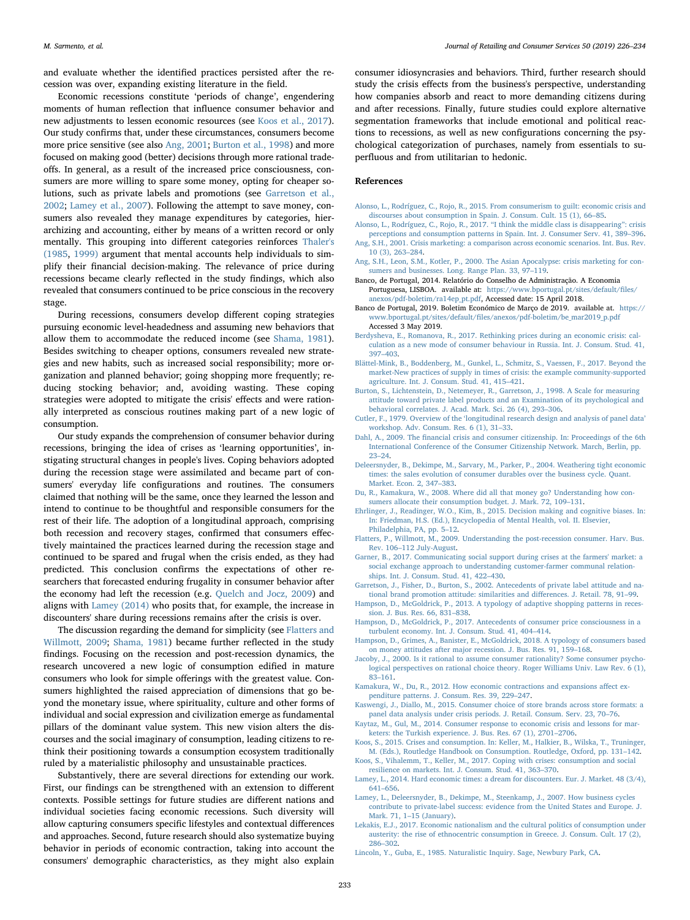and evaluate whether the identified practices persisted after the recession was over, expanding existing literature in the field.

Economic recessions constitute 'periods of change', engendering moments of human reflection that influence consumer behavior and new adjustments to lessen economic resources (see [Koos et al., 2017](#page-7-0)). Our study confirms that, under these circumstances, consumers become more price sensitive (see also [Ang, 2001](#page-7-27); [Burton et al., 1998](#page-7-8)) and more focused on making good (better) decisions through more rational tradeoffs. In general, as a result of the increased price consciousness, consumers are more willing to spare some money, opting for cheaper solutions, such as private labels and promotions (see [Garretson et al.,](#page-7-9) [2002;](#page-7-9) [Lamey et al., 2007](#page-7-17)). Following the attempt to save money, consumers also revealed they manage expenditures by categories, hierarchizing and accounting, either by means of a written record or only mentally. This grouping into different categories reinforces [Thaler's](#page-8-6) [\(1985,](#page-8-6) [1999\)](#page-8-7) argument that mental accounts help individuals to simplify their financial decision-making. The relevance of price during recessions became clearly reflected in the study findings, which also revealed that consumers continued to be price conscious in the recovery stage.

During recessions, consumers develop different coping strategies pursuing economic level-headedness and assuming new behaviors that allow them to accommodate the reduced income (see [Shama, 1981](#page-8-20)). Besides switching to cheaper options, consumers revealed new strategies and new habits, such as increased social responsibility; more organization and planned behavior; going shopping more frequently; reducing stocking behavior; and, avoiding wasting. These coping strategies were adopted to mitigate the crisis' effects and were rationally interpreted as conscious routines making part of a new logic of consumption.

Our study expands the comprehension of consumer behavior during recessions, bringing the idea of crises as 'learning opportunities', instigating structural changes in people's lives. Coping behaviors adopted during the recession stage were assimilated and became part of consumers' everyday life configurations and routines. The consumers claimed that nothing will be the same, once they learned the lesson and intend to continue to be thoughtful and responsible consumers for the rest of their life. The adoption of a longitudinal approach, comprising both recession and recovery stages, confirmed that consumers effectively maintained the practices learned during the recession stage and continued to be spared and frugal when the crisis ended, as they had predicted. This conclusion confirms the expectations of other researchers that forecasted enduring frugality in consumer behavior after the economy had left the recession (e.g. [Quelch and Jocz, 2009](#page-8-1)) and aligns with Lamey [\(2014\)](#page-7-28) who posits that, for example, the increase in discounters' share during recessions remains after the crisis is over.

The discussion regarding the demand for simplicity (see [Flatters and](#page-7-23) [Willmott, 2009](#page-7-23); [Shama, 1981](#page-8-20)) became further reflected in the study findings. Focusing on the recession and post-recession dynamics, the research uncovered a new logic of consumption edified in mature consumers who look for simple offerings with the greatest value. Consumers highlighted the raised appreciation of dimensions that go beyond the monetary issue, where spirituality, culture and other forms of individual and social expression and civilization emerge as fundamental pillars of the dominant value system. This new vision alters the discourses and the social imaginary of consumption, leading citizens to rethink their positioning towards a consumption ecosystem traditionally ruled by a materialistic philosophy and unsustainable practices.

Substantively, there are several directions for extending our work. First, our findings can be strengthened with an extension to different contexts. Possible settings for future studies are different nations and individual societies facing economic recessions. Such diversity will allow capturing consumers specific lifestyles and contextual differences and approaches. Second, future research should also systematize buying behavior in periods of economic contraction, taking into account the consumers' demographic characteristics, as they might also explain

consumer idiosyncrasies and behaviors. Third, further research should study the crisis effects from the business's perspective, understanding how companies absorb and react to more demanding citizens during and after recessions. Finally, future studies could explore alternative segmentation frameworks that include emotional and political reactions to recessions, as well as new configurations concerning the psychological categorization of purchases, namely from essentials to superfluous and from utilitarian to hedonic.

## References

- <span id="page-7-1"></span>[Alonso, L., Rodríguez, C., Rojo, R., 2015. From consumerism to guilt: economic crisis and](http://refhub.elsevier.com/S0969-6989(17)30703-8/sref1) [discourses about consumption in Spain. J. Consum. Cult. 15 \(1\), 66](http://refhub.elsevier.com/S0969-6989(17)30703-8/sref1)–85.
- <span id="page-7-2"></span>[Alonso, L., Rodríguez, C., Rojo, R., 2017.](http://refhub.elsevier.com/S0969-6989(17)30703-8/sref2) "I think the middle class is disappearing": crisis [perceptions and consumption patterns in Spain. Int. J. Consumer Serv. 41, 389](http://refhub.elsevier.com/S0969-6989(17)30703-8/sref2)–396. [Ang, S.H., 2001. Crisis marketing: a comparison across economic scenarios. Int. Bus. Rev.](http://refhub.elsevier.com/S0969-6989(17)30703-8/sref3)
- <span id="page-7-27"></span>[10 \(3\), 263](http://refhub.elsevier.com/S0969-6989(17)30703-8/sref3)–284. [Ang, S.H., Leon, S.M., Kotler, P., 2000. The Asian Apocalypse: crisis marketing for con-](http://refhub.elsevier.com/S0969-6989(17)30703-8/sref4)
- <span id="page-7-7"></span>[sumers and businesses. Long. Range Plan. 33, 97](http://refhub.elsevier.com/S0969-6989(17)30703-8/sref4)–119.
- <span id="page-7-24"></span>Banco, de Portugal, 2014. Relatório do Conselho de Administração. A Economia Portuguesa, LISBOA. available at: [https://www.bportugal.pt/sites/default/](https://www.bportugal.pt/sites/default/files/anexos/pdf-boletim/ra14ep_pt.pdf)files/ [anexos/pdf-boletim/ra14ep\\_pt.pdf](https://www.bportugal.pt/sites/default/files/anexos/pdf-boletim/ra14ep_pt.pdf), Accessed date: 15 April 2018.
- <span id="page-7-25"></span>Banco de Portugal, 2019. Boletim Económico de Março de 2019. available at. [https://](https://www.bportugal.pt/sites/default/files/anexos/pdf-boletim/be_mar2019_p.pdf) www.bportugal.pt/sites/default/fi[les/anexos/pdf-boletim/be\\_mar2019\\_p.pdf](https://www.bportugal.pt/sites/default/files/anexos/pdf-boletim/be_mar2019_p.pdf) Accessed 3 May 2019.
- <span id="page-7-16"></span>[Berdysheva, E., Romanova, R., 2017. Rethinking prices during an economic crisis: cal](http://refhub.elsevier.com/S0969-6989(17)30703-8/sref5)[culation as a new mode of consumer behaviour in Russia. Int. J. Consum. Stud. 41,](http://refhub.elsevier.com/S0969-6989(17)30703-8/sref5) 397–[403](http://refhub.elsevier.com/S0969-6989(17)30703-8/sref5).
- <span id="page-7-19"></span>[Blättel-Mink, B., Boddenberg, M., Gunkel, L., Schmitz, S., Vaessen, F., 2017. Beyond the](http://refhub.elsevier.com/S0969-6989(17)30703-8/sref6) [market-New practices of supply in times of crisis: the example community-supported](http://refhub.elsevier.com/S0969-6989(17)30703-8/sref6) [agriculture. Int. J. Consum. Stud. 41, 415](http://refhub.elsevier.com/S0969-6989(17)30703-8/sref6)–421.
- <span id="page-7-8"></span>[Burton, S., Lichtenstein, D., Netemeyer, R., Garretson, J., 1998. A Scale for measuring](http://refhub.elsevier.com/S0969-6989(17)30703-8/sref7) [attitude toward private label products and an Examination of its psychological and](http://refhub.elsevier.com/S0969-6989(17)30703-8/sref7) [behavioral correlates. J. Acad. Mark. Sci. 26 \(4\), 293](http://refhub.elsevier.com/S0969-6989(17)30703-8/sref7)–306.
- <span id="page-7-4"></span>Cutler, F., 1979. Overview of the '[longitudinal research design and analysis of panel data](http://refhub.elsevier.com/S0969-6989(17)30703-8/sref8)' [workshop. Adv. Consum. Res. 6 \(1\), 31](http://refhub.elsevier.com/S0969-6989(17)30703-8/sref8)–33.
- <span id="page-7-29"></span>Dahl, A., 2009. The fi[nancial crisis and consumer citizenship. In: Proceedings of the 6th](http://refhub.elsevier.com/S0969-6989(17)30703-8/sref9) [International Conference of the Consumer Citizenship Network. March, Berlin, pp.](http://refhub.elsevier.com/S0969-6989(17)30703-8/sref9) 23–[24](http://refhub.elsevier.com/S0969-6989(17)30703-8/sref9).
- <span id="page-7-22"></span>[Deleersnyder, B., Dekimpe, M., Sarvary, M., Parker, P., 2004. Weathering tight economic](http://refhub.elsevier.com/S0969-6989(17)30703-8/sref12) [times: the sales evolution of consumer durables over the business cycle. Quant.](http://refhub.elsevier.com/S0969-6989(17)30703-8/sref12) [Market. Econ. 2, 347](http://refhub.elsevier.com/S0969-6989(17)30703-8/sref12)–383.
- <span id="page-7-13"></span>[Du, R., Kamakura, W., 2008. Where did all that money go? Understanding how con](http://refhub.elsevier.com/S0969-6989(17)30703-8/sref13)[sumers allocate their consumption budget. J. Mark. 72, 109](http://refhub.elsevier.com/S0969-6989(17)30703-8/sref13)–131.
- <span id="page-7-6"></span>[Ehrlinger, J., Readinger, W.O., Kim, B., 2015. Decision making and cognitive biases. In:](http://refhub.elsevier.com/S0969-6989(17)30703-8/sref14) [In: Friedman, H.S. \(Ed.\), Encyclopedia of Mental Health, vol. II. Elsevier,](http://refhub.elsevier.com/S0969-6989(17)30703-8/sref14) [Philadelphia, PA, pp. 5](http://refhub.elsevier.com/S0969-6989(17)30703-8/sref14)–12.
- <span id="page-7-23"></span>[Flatters, P., Willmott, M., 2009. Understanding the post-recession consumer. Harv. Bus.](http://refhub.elsevier.com/S0969-6989(17)30703-8/sref15) Rev. 106–[112 July-August.](http://refhub.elsevier.com/S0969-6989(17)30703-8/sref15)
- <span id="page-7-20"></span>[Garner, B., 2017. Communicating social support during crises at the farmers' market: a](http://refhub.elsevier.com/S0969-6989(17)30703-8/sref16) [social exchange approach to understanding customer-farmer communal relation](http://refhub.elsevier.com/S0969-6989(17)30703-8/sref16)[ships. Int. J. Consum. Stud. 41, 422](http://refhub.elsevier.com/S0969-6989(17)30703-8/sref16)–430.
- <span id="page-7-9"></span>[Garretson, J., Fisher, D., Burton, S., 2002. Antecedents of private label attitude and na](http://refhub.elsevier.com/S0969-6989(17)30703-8/sref17)[tional brand promotion attitude: similarities and di](http://refhub.elsevier.com/S0969-6989(17)30703-8/sref17)fferences. J. Retail. 78, 91–99.
- <span id="page-7-12"></span>Hampson, [D., McGoldrick, P., 2013. A typology of adaptive shopping patterns in reces](http://refhub.elsevier.com/S0969-6989(17)30703-8/sref18)[sion. J. Bus. Res. 66, 831](http://refhub.elsevier.com/S0969-6989(17)30703-8/sref18)–838.
- <span id="page-7-15"></span>[Hampson, D., McGoldrick, P., 2017. Antecedents of consumer price consciousness in a](http://refhub.elsevier.com/S0969-6989(17)30703-8/sref19) [turbulent economy. Int. J. Consum. Stud. 41, 404](http://refhub.elsevier.com/S0969-6989(17)30703-8/sref19)–414.
- <span id="page-7-11"></span>[Hampson, D., Grimes, A., Banister, E., McGoldrick, 2018. A typology of consumers based](http://refhub.elsevier.com/S0969-6989(17)30703-8/sref20) [on money attitudes after major recession. J. Bus. Res. 91, 159](http://refhub.elsevier.com/S0969-6989(17)30703-8/sref20)–168.
- <span id="page-7-5"></span>[Jacoby, J., 2000. Is it rational to assume consumer rationality? Some consumer psycho](http://refhub.elsevier.com/S0969-6989(17)30703-8/sref22)[logical perspectives on rational choice theory. Roger Williams Univ. Law Rev. 6 \(1\),](http://refhub.elsevier.com/S0969-6989(17)30703-8/sref22) 83–[161.](http://refhub.elsevier.com/S0969-6989(17)30703-8/sref22)
- <span id="page-7-14"></span>[Kamakura, W., Du, R., 2012. How economic contractions and expansions a](http://refhub.elsevier.com/S0969-6989(17)30703-8/sref23)ffect ex[penditure patterns. J. Consum. Res. 39, 229](http://refhub.elsevier.com/S0969-6989(17)30703-8/sref23)–247.
- <span id="page-7-10"></span>[Kaswengi, J., Diallo, M., 2015. Consumer choice of store brands across store formats: a](http://refhub.elsevier.com/S0969-6989(17)30703-8/sref24) [panel data analysis under crisis periods. J. Retail. Consum. Serv. 23, 70](http://refhub.elsevier.com/S0969-6989(17)30703-8/sref24)–76.
- <span id="page-7-3"></span>[Kaytaz, M., Gul, M., 2014. Consumer response to economic crisis and lessons for mar](http://refhub.elsevier.com/S0969-6989(17)30703-8/sref25)[keters: the Turkish experience. J. Bus. Res. 67 \(1\), 2701](http://refhub.elsevier.com/S0969-6989(17)30703-8/sref25)–2706.
- <span id="page-7-21"></span>[Koos, S., 2015. Crises and consumption. In: Keller, M., Halkier, B., Wilska, T., Truninger,](http://refhub.elsevier.com/S0969-6989(17)30703-8/sref26) [M. \(Eds.\), Routledge Handbook on Consumption. Routledge, Oxford, pp. 131](http://refhub.elsevier.com/S0969-6989(17)30703-8/sref26)–142.
- <span id="page-7-0"></span>[Koos, S., Vihalemm, T., Keller, M., 2017. Coping with crises: consumption and social](http://refhub.elsevier.com/S0969-6989(17)30703-8/sref27) [resilience on markets. Int. J. Consum. Stud. 41, 363](http://refhub.elsevier.com/S0969-6989(17)30703-8/sref27)–370.
- <span id="page-7-28"></span>[Lamey, L., 2014. Hard economic times: a dream for discounters. Eur. J. Market. 48 \(3/4\),](http://refhub.elsevier.com/S0969-6989(17)30703-8/sref28) 641–[656](http://refhub.elsevier.com/S0969-6989(17)30703-8/sref28).
- <span id="page-7-17"></span>[Lamey, L., Deleersnyder, B., Dekimpe, M., Steenkamp, J., 2007. How business cycles](http://refhub.elsevier.com/S0969-6989(17)30703-8/sref29) [contribute to private-label success: evidence from the United States and Europe. J.](http://refhub.elsevier.com/S0969-6989(17)30703-8/sref29) Mark. 71, 1–[15 \(January\).](http://refhub.elsevier.com/S0969-6989(17)30703-8/sref29)
- <span id="page-7-18"></span>[Lekakis, E.J., 2017. Economic nationalism and the cultural politics of consumption under](http://refhub.elsevier.com/S0969-6989(17)30703-8/sref30) [austerity: the rise of ethnocentric consumption in Greece. J. Consum. Cult. 17 \(2\),](http://refhub.elsevier.com/S0969-6989(17)30703-8/sref30) 286–[302](http://refhub.elsevier.com/S0969-6989(17)30703-8/sref30).
- <span id="page-7-26"></span>[Lincoln, Y., Guba, E., 1985. Naturalistic Inquiry. Sage, Newbury Park, CA.](http://refhub.elsevier.com/S0969-6989(17)30703-8/sref31)